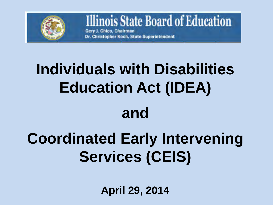

### **Illinois State Board of Education**

Gery J. Chico, Chairman Dr. Christopher Koch, State Superintendent

# **Individuals with Disabilities Education Act (IDEA)**

### **and**

### **Coordinated Early Intervening Services (CEIS)**

**April 29, 2014**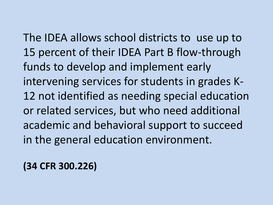The IDEA allows school districts to use up to 15 percent of their IDEA Part B flow-through funds to develop and implement early intervening services for students in grades K-12 not identified as needing special education or related services, but who need additional academic and behavioral support to succeed in the general education environment.

**(34 CFR 300.226)**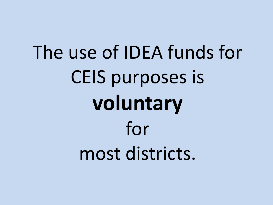# The use of IDEA funds for CEIS purposes is **voluntary** for most districts.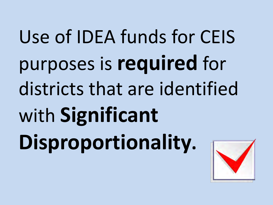Use of IDEA funds for CEIS purposes is **required** for districts that are identified with **Significant Disproportionality.** 

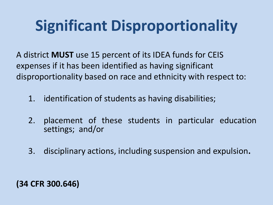### **Significant Disproportionality**

A district **MUST** use 15 percent of its IDEA funds for CEIS expenses if it has been identified as having significant disproportionality based on race and ethnicity with respect to:

- 1. identification of students as having disabilities;
- 2. placement of these students in particular education settings; and/or
- 3. disciplinary actions, including suspension and expulsion**.**

#### **(34 CFR 300.646)**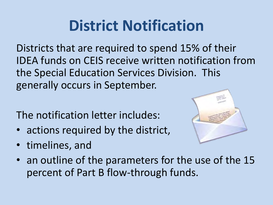### **District Notification**

Districts that are required to spend 15% of their IDEA funds on CEIS receive written notification from the Special Education Services Division. This generally occurs in September.

The notification letter includes:

- actions required by the district,
- timelines, and



• an outline of the parameters for the use of the 15 percent of Part B flow-through funds.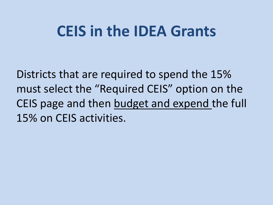### **CEIS in the IDEA Grants**

Districts that are required to spend the 15% must select the "Required CEIS" option on the CEIS page and then budget and expend the full 15% on CEIS activities.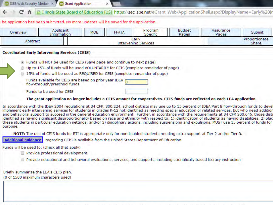|                                                  | <b>ID ISBE Web Security Modul X</b>                                                                                                                        | <b>Grant Application</b> |              |                     |                        |                                                                                                                      |        |  |  |
|--------------------------------------------------|------------------------------------------------------------------------------------------------------------------------------------------------------------|--------------------------|--------------|---------------------|------------------------|----------------------------------------------------------------------------------------------------------------------|--------|--|--|
|                                                  | С                                                                                                                                                          |                          |              |                     |                        | A Illinois State Board of Education [US] https://sec.isbe.net/eGrant_Web/ApplicationShell.aspx?DisplayName=Early%20I |        |  |  |
|                                                  | The application has been submitted. No more updates will be saved for the application.                                                                     |                          |              |                     |                        |                                                                                                                      |        |  |  |
|                                                  | <b>Applicant</b><br>Overview<br>Information                                                                                                                | <b>MOE</b>               | <b>FFATA</b> | Program<br>Specific | <b>Budget</b><br>Pages | Assurance<br>Pages                                                                                                   | Submit |  |  |
| Early<br>Abstract<br><b>Intervening Services</b> |                                                                                                                                                            |                          |              |                     |                        | Proportionate<br>Share                                                                                               |        |  |  |
|                                                  | <b>Coordinated Early Intervening Services (CEIS)</b>                                                                                                       |                          |              |                     |                        |                                                                                                                      |        |  |  |
|                                                  | Funds will NOT be used for CEIS (Save page and continue to next page)<br>Up to 15% of funds will be used VOLUNTARILY for CEIS (complete remainder of page) |                          |              |                     |                        |                                                                                                                      |        |  |  |
|                                                  | 15% of funds will be used as REQUIRED for CEIS (complete remainder of page)                                                                                |                          |              |                     |                        |                                                                                                                      |        |  |  |
|                                                  | Funds available for CEIS are based on prior year IDEA<br>flow-through/preschool funds                                                                      |                          |              |                     |                        |                                                                                                                      |        |  |  |
|                                                  | Funds to be used for CEIS                                                                                                                                  |                          |              |                     |                        |                                                                                                                      |        |  |  |
|                                                  | The grant application no longer includes a CEIS amount for cooperatives. CEIS funds are reflected on each LEA application.                                 |                          |              |                     |                        |                                                                                                                      |        |  |  |

In accordance with the IDEA 2004 regulations at 34 CFR, 300.224, school districts may use up to 15 percent of IDEA Part B flow-through funds to devel implement early intervening services for students in grades K-12 not identified as needing special education or related services, but who need addition and behavioral support to succeed in the general education environment. Further, in accordance with the requirements at 34 CFR 300.646, those disti identified as having significant disproportionality based on race and ethnicity with respect to: 1) identification of students as having disabilities; 2) plac these students in particular education settings; and/or 3) disciplinary actions, including suspensions and expulsions, MUST use 15 percent of funds for purpose.

NOTE: The use of CEIS funds for RTI is appropriate only for nondisabled students needing extra support at Tier 2 and/or Tier 3.

Additional quidance regarding CEIS is available from the United States Department of Education

Funds will be used to: (check all that apply)

- Provide professional development
- Provide educational and behavioral evaluations, services, and supports, including scientifically based literacy instruction

Briefly summarize the LEA's CEIS plan. (0 of 1500 maximum characters used)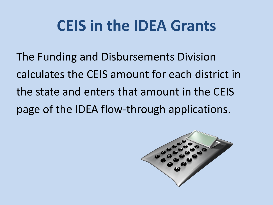### **CEIS in the IDEA Grants**

The Funding and Disbursements Division calculates the CEIS amount for each district in the state and enters that amount in the CEIS page of the IDEA flow-through applications.

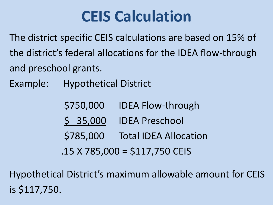### **CEIS Calculation**

The district specific CEIS calculations are based on 15% of the district's federal allocations for the IDEA flow-through and preschool grants.

Example: Hypothetical District

 \$750,000 IDEA Flow-through \$ 35,000 IDEA Preschool \$785,000 Total IDEA Allocation

 $.15$  X 785,000 = \$117,750 CEIS

Hypothetical District's maximum allowable amount for CEIS is \$117,750.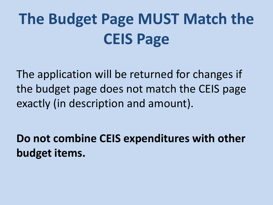## **The Budget Page MUST Match the CEIS Page**

The application will be returned for changes if the budget page does not match the CEIS page exactly (in description and amount).

**Do not combine CEIS expenditures with other budget items.**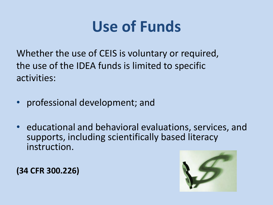### **Use of Funds**

Whether the use of CEIS is voluntary or required, the use of the IDEA funds is limited to specific activities:

- professional development; and
- educational and behavioral evaluations, services, and supports, including scientifically based literacy instruction.

**(34 CFR 300.226)** 

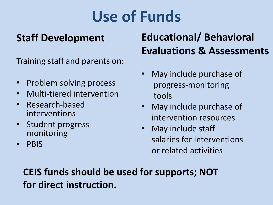### **Use of Funds**

#### **Staff Development**

Training staff and parents on:

- Problem solving process
- Multi-tiered intervention
- Research-based interventions
- Student progress monitoring
- PBIS

### **Educational/ Behavioral Evaluations & Assessments**

- May include purchase of progress-monitoring tools
- May include purchase of intervention resources
- May include staff salaries for interventions or related activities

#### **CEIS funds should be used for supports; NOT for direct instruction.**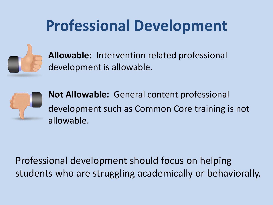### **Professional Development**



**Allowable:** Intervention related professional development is allowable.



**Not Allowable:** General content professional development such as Common Core training is not allowable.

Professional development should focus on helping students who are struggling academically or behaviorally.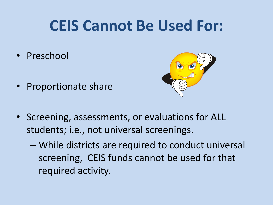### **CEIS Cannot Be Used For:**

- Preschool
- Proportionate share



- Screening, assessments, or evaluations for ALL students; i.e., not universal screenings.
	- While districts are required to conduct universal screening, CEIS funds cannot be used for that required activity.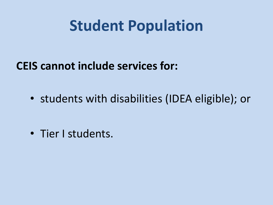### **Student Population**

### **CEIS cannot include services for:**

• students with disabilities (IDEA eligible); or

• Tier I students.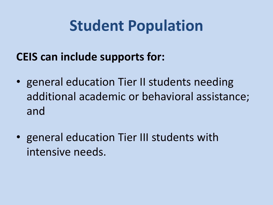### **Student Population**

### **CEIS can include supports for:**

- general education Tier II students needing additional academic or behavioral assistance; and
- general education Tier III students with intensive needs.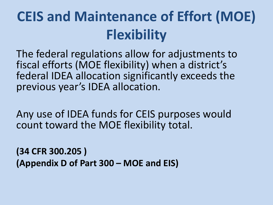### **CEIS and Maintenance of Effort (MOE) Flexibility**

The federal regulations allow for adjustments to fiscal efforts (MOE flexibility) when a district's federal IDEA allocation significantly exceeds the previous year's IDEA allocation.

Any use of IDEA funds for CEIS purposes would count toward the MOE flexibility total.

**(34 CFR 300.205 ) (Appendix D of Part 300 – MOE and EIS)**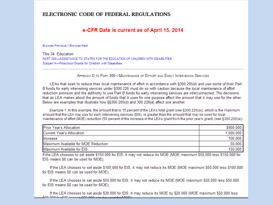#### ELECTRONIC CODE OF FEDERAL REGULATIONS

#### e-CFR Data is current as of April 15, 2014

Browse Previous | Browse Next

Title 34: Education PART 300-ASSISTANCE TO STATES FOR THE EDUCATION OF CHILDREN WITH DISABILITIES Subpart H-Preschool Grants for Children with Disabilities

APPENDIX D TO PART 300-MAINTENANCE OF EFFORT AND EARLY INTERVENING SERVICES

LEAs that seek to reduce their local maintenance of effort in accordance with §300.205(d) and use some of their Part B funds for early intervening services under §300.226 must do so with caution because the local maintenance of effort reduction provision and the authority to use Part B funds for early intervening services are interconnected. The decisions that an LEA makes about the amount of funds that it uses for one purpose affect the amount that it may use for the other. Below are examples that illustrate how §§300.205(d) and 300.226(a) affect one another.

Example 1: In this example, the amount that is 15 percent of the LEA's total grant (see §300.226(a)), which is the maximum amount that the LEA may use for early intervening services (EIS), is greater than the amount that may be used for local maintenance of effort (MOE) reduction (50 percent of the increase in the LEA's grant from the prior year's grant) (see §300.205(a)).

| <b>Prior Year's Allocation</b>      | \$900,000. |
|-------------------------------------|------------|
| <b>Current Year's Allocation</b>    | 1.000.000. |
| Increase                            | 100,000.   |
| Maximum Available for MOE Reduction | 50.000.    |
| Maximum Available for EIS           | 150,000.   |

If the LEA chooses to set aside \$150,000 for EIS, it may not reduce its MOE (MOE maximum \$50,000 less \$150,000 for EIS means \$0 can be used for MOE).

If the LEA chooses to set aside \$100,000 for EIS, it may not reduce its MOE (MOE maximum \$50,000 less \$100,000 for EIS means \$0 can be used for MOE).

If the LEA chooses to set aside \$50,000 for EIS, it may not reduce its MOE (MOE maximum \$50,000 less \$50,000 for EIS means \$0 can be used for MOE).

If the LEA chooses to set aside \$30,000 for EIS, it may reduce its MOE by \$20,000 (MOE maximum \$50,000 less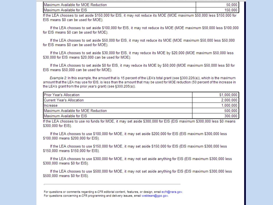| Maxin.<br>EIS<br>tor<br>Available<br>nur |  |
|------------------------------------------|--|

If the LEA chooses to set aside \$150,000 for EIS, it may not reduce its MOE (MOE maximum \$50,000 less \$150,000 for EIS means \$0 can be used for MOE).

If the LEA chooses to set aside \$100,000 for EIS, it may not reduce its MOE (MOE maximum \$50,000 less \$100,000 for EIS means \$0 can be used for MOE).

If the LEA chooses to set aside \$50,000 for EIS, it may not reduce its MOE (MOE maximum \$50,000 less \$50,000 for EIS means \$0 can be used for MOE).

If the LEA chooses to set aside \$30,000 for EIS, it may reduce its MOE by \$20,000 (MOE maximum \$50,000 less \$30,000 for EIS means \$20,000 can be used for MOE).

If the LEA chooses to set aside \$0 for EIS, it may reduce its MOE by \$50,000 (MOE maximum \$50,000 less \$0 for EIS means \$50,000 can be used for MOE).

Example 2: In this example, the amount that is 15 percent of the LEA's total grant (see §300.226(a)), which is the maximum amount that the LEA may use for EIS, is less than the amount that may be used for MOE reduction (50 percent of the increase in the LEA's grant from the prior year's grant) (see §300.205(a)).

| <b>Prior Year's Allocation</b>      | \$1,000,000. |
|-------------------------------------|--------------|
| <b>Current Year's Allocation</b>    | 2,000,000.   |
| Increase                            | 1,000,000.   |
| Maximum Available for MOE Reduction | 500,000.     |
| Maximum Available for EIS           | 300,000.     |

If the LEA chooses to use no funds for MOE, it may set aside \$300,000 for EIS (EIS maximum \$300,000 less \$0 means \$300,000 for EIS).

If the LEA chooses to use \$100,000 for MOE, it may set aside \$200,000 for EIS (EIS maximum \$300,000 less \$100,000 means \$200,000 for EIS).

If the LEA chooses to use \$150,000 for MOE, it may set aside \$150,000 for EIS (EIS maximum \$300,000 less \$150,000 means \$150,000 for EIS).

If the LEA chooses to use \$300,000 for MOE, it may not set aside anything for EIS (EIS maximum \$300,000 less \$300,000 means \$0 for EIS).

If the LEA chooses to use \$500,000 for MOE, it may not set aside anything for EIS (EIS maximum \$300,000 less \$500,000 means \$0 for EIS).

For questions or comments regarding e-CFR editorial content, features, or design, email ecfr@nara.gov. For questions concerning e-CFR programming and delivery issues, email webteam@gpo.gov.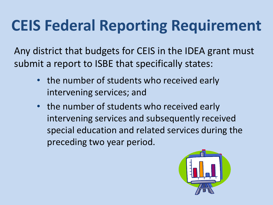### **CEIS Federal Reporting Requirement**

Any district that budgets for CEIS in the IDEA grant must submit a report to ISBE that specifically states:

- the number of students who received early intervening services; and
- the number of students who received early intervening services and subsequently received special education and related services during the preceding two year period.

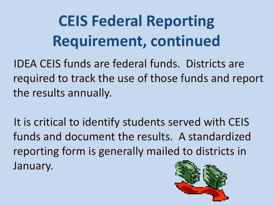## **CEIS Federal Reporting Requirement, continued**

IDEA CEIS funds are federal funds. Districts are required to track the use of those funds and report the results annually.

It is critical to identify students served with CEIS funds and document the results. A standardized reporting form is generally mailed to districts in January.

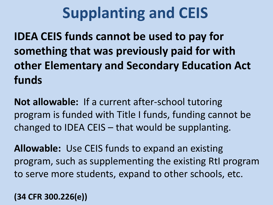### **Supplanting and CEIS**

**IDEA CEIS funds cannot be used to pay for something that was previously paid for with other Elementary and Secondary Education Act funds**

**Not allowable:** If a current after-school tutoring program is funded with Title I funds, funding cannot be changed to IDEA CEIS – that would be supplanting.

**Allowable:** Use CEIS funds to expand an existing program, such as supplementing the existing RtI program to serve more students, expand to other schools, etc.

**(34 CFR 300.226(e))**